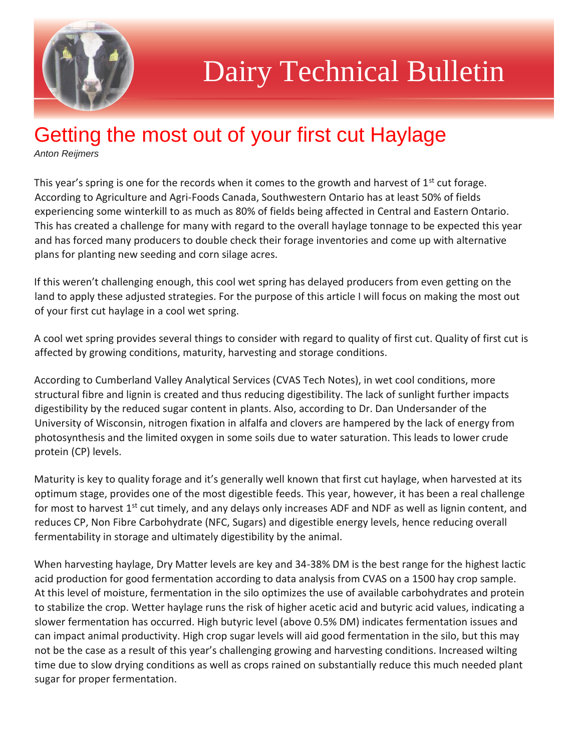

## Dairy Technical Bulletin

## Getting the most out of your first cut Haylage

*Anton Reijmers*

This year's spring is one for the records when it comes to the growth and harvest of  $1<sup>st</sup>$  cut forage. According to Agriculture and Agri-Foods Canada, Southwestern Ontario has at least 50% of fields experiencing some winterkill to as much as 80% of fields being affected in Central and Eastern Ontario. This has created a challenge for many with regard to the overall haylage tonnage to be expected this year and has forced many producers to double check their forage inventories and come up with alternative plans for planting new seeding and corn silage acres.

If this weren't challenging enough, this cool wet spring has delayed producers from even getting on the land to apply these adjusted strategies. For the purpose of this article I will focus on making the most out of your first cut haylage in a cool wet spring.

A cool wet spring provides several things to consider with regard to quality of first cut. Quality of first cut is affected by growing conditions, maturity, harvesting and storage conditions.

According to Cumberland Valley Analytical Services (CVAS Tech Notes), in wet cool conditions, more structural fibre and lignin is created and thus reducing digestibility. The lack of sunlight further impacts digestibility by the reduced sugar content in plants. Also, according to Dr. Dan Undersander of the University of Wisconsin, nitrogen fixation in alfalfa and clovers are hampered by the lack of energy from photosynthesis and the limited oxygen in some soils due to water saturation. This leads to lower crude protein (CP) levels.

Maturity is key to quality forage and it's generally well known that first cut haylage, when harvested at its optimum stage, provides one of the most digestible feeds. This year, however, it has been a real challenge for most to harvest 1<sup>st</sup> cut timely, and any delays only increases ADF and NDF as well as lignin content, and reduces CP, Non Fibre Carbohydrate (NFC, Sugars) and digestible energy levels, hence reducing overall fermentability in storage and ultimately digestibility by the animal.

When harvesting haylage, Dry Matter levels are key and 34-38% DM is the best range for the highest lactic acid production for good fermentation according to data analysis from CVAS on a 1500 hay crop sample. At this level of moisture, fermentation in the silo optimizes the use of available carbohydrates and protein to stabilize the crop. Wetter haylage runs the risk of higher acetic acid and butyric acid values, indicating a slower fermentation has occurred. High butyric level (above 0.5% DM) indicates fermentation issues and can impact animal productivity. High crop sugar levels will aid good fermentation in the silo, but this may not be the case as a result of this year's challenging growing and harvesting conditions. Increased wilting time due to slow drying conditions as well as crops rained on substantially reduce this much needed plant sugar for proper fermentation.